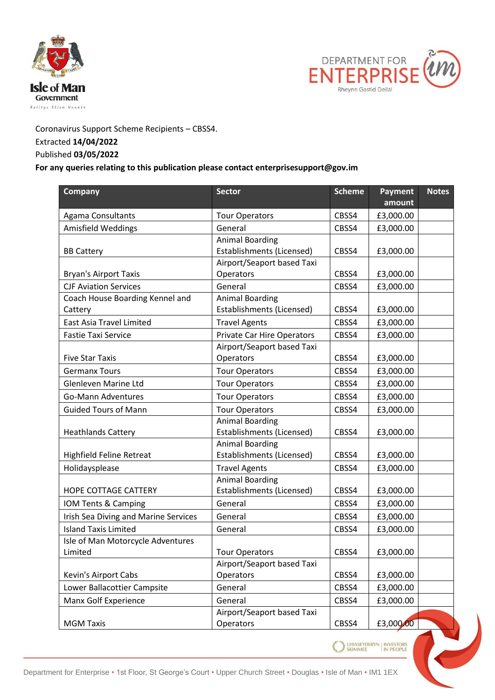



## Coronavirus Support Scheme Recipients – CBSS4. Extracted **14/04/2022**

## Published **03/05/2022**

## **For any queries relating to this publication please contact enterprisesupport@gov.im**

| <b>Company</b>                       | <b>Sector</b>                                       | <b>Scheme</b> | <b>Payment</b>                                      | <b>Notes</b> |
|--------------------------------------|-----------------------------------------------------|---------------|-----------------------------------------------------|--------------|
|                                      |                                                     |               | amount                                              |              |
| Agama Consultants                    | <b>Tour Operators</b>                               | CBSS4         | £3,000.00                                           |              |
| Amisfield Weddings                   | General                                             | CBSS4         | £3,000.00                                           |              |
|                                      | <b>Animal Boarding</b><br>Establishments (Licensed) | CBSS4         |                                                     |              |
| <b>BB Cattery</b>                    | Airport/Seaport based Taxi                          |               | £3,000.00                                           |              |
| <b>Bryan's Airport Taxis</b>         | Operators                                           | CBSS4         | £3,000.00                                           |              |
| <b>CJF Aviation Services</b>         | General                                             | CBSS4         | £3,000.00                                           |              |
| Coach House Boarding Kennel and      | <b>Animal Boarding</b>                              |               |                                                     |              |
| Cattery                              | Establishments (Licensed)                           | CBSS4         | £3,000.00                                           |              |
| East Asia Travel Limited             | <b>Travel Agents</b>                                | CBSS4         | £3,000.00                                           |              |
| <b>Fastie Taxi Service</b>           | <b>Private Car Hire Operators</b>                   | CBSS4         | £3,000.00                                           |              |
|                                      | Airport/Seaport based Taxi                          |               |                                                     |              |
| <b>Five Star Taxis</b>               | Operators                                           | CBSS4         | £3,000.00                                           |              |
| <b>Germanx Tours</b>                 | <b>Tour Operators</b>                               | CBSS4         | £3,000.00                                           |              |
| Glenleven Marine Ltd                 | <b>Tour Operators</b>                               | CBSS4         | £3,000.00                                           |              |
| Go-Mann Adventures                   | <b>Tour Operators</b>                               | CBSS4         | £3,000.00                                           |              |
| <b>Guided Tours of Mann</b>          | <b>Tour Operators</b>                               | CBSS4         | £3,000.00                                           |              |
|                                      | <b>Animal Boarding</b>                              |               |                                                     |              |
| <b>Heathlands Cattery</b>            | <b>Establishments (Licensed)</b>                    | CBSS4         | £3,000.00                                           |              |
|                                      | <b>Animal Boarding</b>                              |               |                                                     |              |
| Highfield Feline Retreat             | Establishments (Licensed)                           | CBSS4         | £3,000.00                                           |              |
| Holidaysplease                       | <b>Travel Agents</b>                                | CBSS4         | £3,000.00                                           |              |
|                                      | <b>Animal Boarding</b>                              |               |                                                     |              |
| HOPE COTTAGE CATTERY                 | Establishments (Licensed)                           | CBSS4         | £3,000.00                                           |              |
| IOM Tents & Camping                  | General                                             | CBSS4         | £3,000.00                                           |              |
| Irish Sea Diving and Marine Services | General                                             | CBSS4         | £3,000.00                                           |              |
| <b>Island Taxis Limited</b>          | General                                             | CBSS4         | £3,000.00                                           |              |
| Isle of Man Motorcycle Adventures    |                                                     |               |                                                     |              |
| Limited                              | <b>Tour Operators</b>                               | CBSS4         | £3,000.00                                           |              |
|                                      | Airport/Seaport based Taxi                          |               |                                                     |              |
| Kevin's Airport Cabs                 | Operators                                           | CBSS4         | £3,000.00                                           |              |
| Lower Ballacottier Campsite          | General                                             | CBSS4         | £3,000.00                                           |              |
| Manx Golf Experience                 | General                                             | CBSS4         | £3,000.00                                           |              |
|                                      | Airport/Seaport based Taxi                          |               |                                                     |              |
| <b>MGM Taxis</b>                     | Operators                                           | CBSS4         | £3,000.00                                           |              |
|                                      |                                                     |               | <b>LHIASEYDERYN   INVESTORS</b><br><b>IN PEOPLE</b> |              |